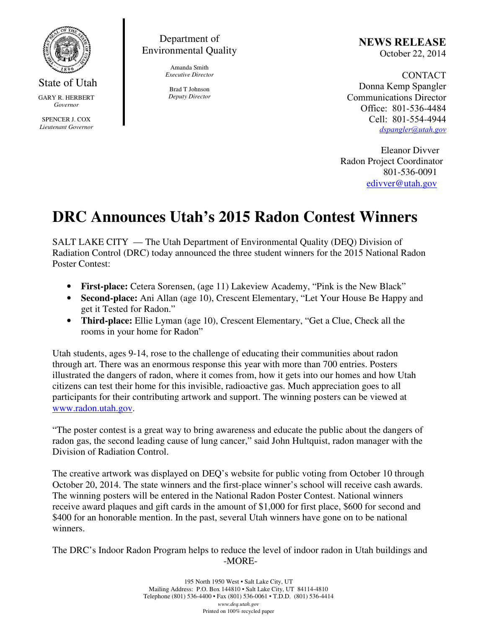

## Department of Environmental Quality

Amanda Smith *Executive Director* 

Brad T Johnson *Deputy Director*  NEWS RELEASE October 22, 2014

CONTACT Donna Kemp Spangler Communications Director Office: 801-536-4484 Cell: 801-554-4944 dspangler@utah.gov

 Eleanor Divver Radon Project Coordinator 801-536-0091 edivver@utah.gov

## **DRC Announces Utah's 2015 Radon Contest Winners**

SALT LAKE CITY — The Utah Department of Environmental Quality (DEQ) Division of Radiation Control (DRC) today announced the three student winners for the 2015 National Radon Poster Contest:

- **First-place:** Cetera Sorensen, (age 11) Lakeview Academy, "Pink is the New Black"
- **Second-place:** Ani Allan (age 10), Crescent Elementary, "Let Your House Be Happy and get it Tested for Radon."
- **Third-place:** Ellie Lyman (age 10), Crescent Elementary, "Get a Clue, Check all the rooms in your home for Radon"

Utah students, ages 9-14, rose to the challenge of educating their communities about radon through art. There was an enormous response this year with more than 700 entries. Posters illustrated the dangers of radon, where it comes from, how it gets into our homes and how Utah citizens can test their home for this invisible, radioactive gas. Much appreciation goes to all participants for their contributing artwork and support. The winning posters can be viewed at www.radon.utah.gov.

"The poster contest is a great way to bring awareness and educate the public about the dangers of radon gas, the second leading cause of lung cancer," said John Hultquist, radon manager with the Division of Radiation Control.

The creative artwork was displayed on DEQ's website for public voting from October 10 through October 20, 2014. The state winners and the first-place winner's school will receive cash awards. The winning posters will be entered in the National Radon Poster Contest. National winners receive award plaques and gift cards in the amount of \$1,000 for first place, \$600 for second and \$400 for an honorable mention. In the past, several Utah winners have gone on to be national winners.

The DRC's Indoor Radon Program helps to reduce the level of indoor radon in Utah buildings and -MORE-

> 195 North 1950 West • Salt Lake City, UT Mailing Address: P.O. Box 144810 • Salt Lake City, UT 84114-4810 Telephone (801) 536-4400 • Fax (801) 536-0061 • T.D.D. (801) 536-4414 *www.deq.utah.gov*  Printed on 100% recycled paper

State of Utah GARY R. HERBERT *Governor* 

SPENCER J. COX *Lieutenant Governor*